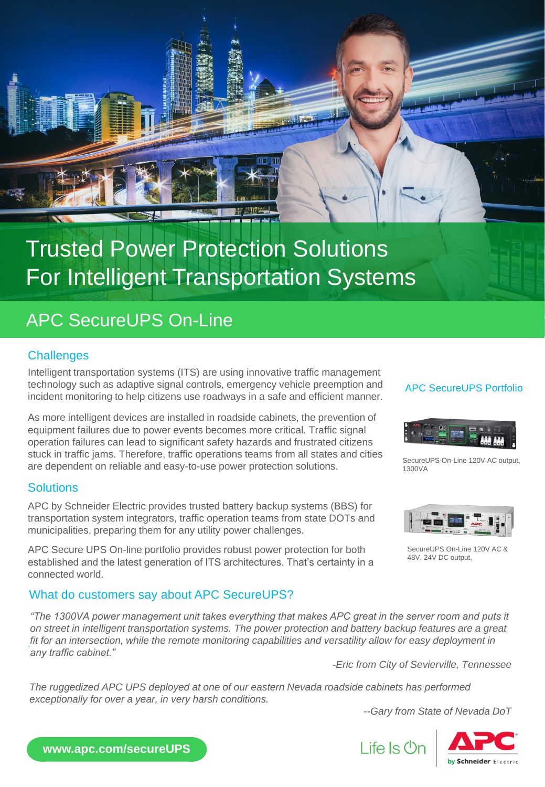

# Trusted Power Protection Solutions For Intelligent Transportation Systems

# APC SecureUPS On-Line

### **Challenges**

Intelligent transportation systems (ITS) are using innovative traffic management technology such as adaptive signal controls, emergency vehicle preemption and incident monitoring to help citizens use roadways in a safe and efficient manner.

As more intelligent devices are installed in roadside cabinets, the prevention of equipment failures due to power events becomes more critical. Traffic signal operation failures can lead to significant safety hazards and frustrated citizens stuck in traffic jams. Therefore, traffic operations teams from all states and cities are dependent on reliable and easy-to-use power protection solutions.

### **Solutions**

APC by Schneider Electric provides trusted battery backup systems (BBS) for transportation system integrators, traffic operation teams from state DOTs and municipalities, preparing them for any utility power challenges.

APC Secure UPS On-line portfolio provides robust power protection for both established and the latest generation of ITS architectures. That's certainty in a connected world.

### What do customers say about APC SecureUPS?

. *fit for an intersection, while the remote monitoring capabilities and versatility allow for easy deployment in "The 1300VA power management unit takes everything that makes APC great in the server room and puts it on street in intelligent transportation systems. The power protection and battery backup features are a great any traffic cabinet."*

*-Eric from City of Sevierville, Tennessee* 

Life Is On

*The ruggedized APC UPS deployed at one of our eastern Nevada roadside cabinets has performed exceptionally for over a year, in very harsh conditions.*

*--Gary from State of Nevada DoT*



**www.apc.com/secureUPS**

### APC SecureUPS Portfolio



SecureUPS On-Line 120V AC output, 1300VA



SecureUPS On-Line 120V AC & 48V, 24V DC output,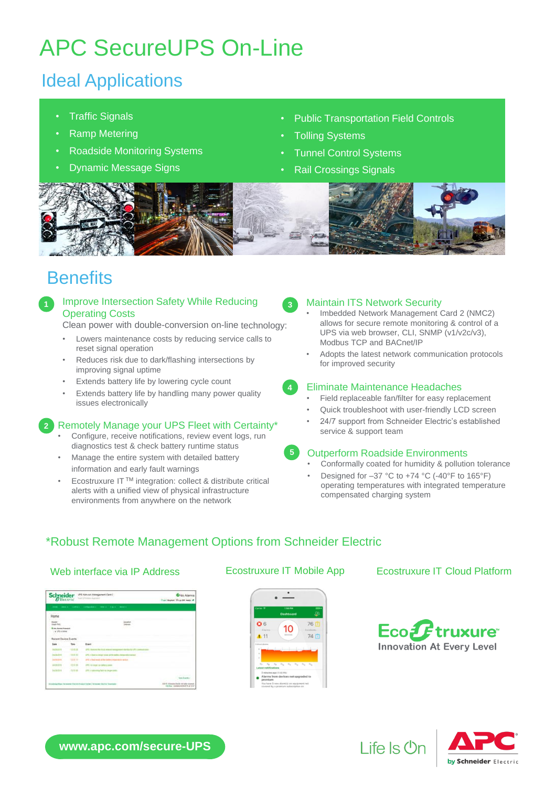# APC SecureUPS On-Line

# Ideal Applications

- **Traffic Signals**
- Ramp Metering
- Roadside Monitoring Systems
- Dynamic Message Signs
- Public Transportation Field Controls
- **Tolling Systems**
- Tunnel Control Systems
- Rail Crossings Signals



# **Benefits**

Improve Intersection Safety While Reducing Operating Costs

Clean power with double-conversion on-line technology:

- Lowers maintenance costs by reducing service calls to reset signal operation
- Reduces risk due to dark/flashing intersections by improving signal uptime
- Extends battery life by lowering cycle count
- Extends battery life by handling many power quality issues electronically

### **2** Remotely Manage your UPS Fleet with Certainty\*

- Configure, receive notifications, review event logs, run diagnostics test & check battery runtime status
- Manage the entire system with detailed battery information and early fault warnings
- Ecostruxure IT TM integration: collect & distribute critical alerts with a unified view of physical infrastructure environments from anywhere on the network



### **<sup>3</sup>** Maintain ITS Network Security

- Imbedded Network Management Card 2 (NMC2) allows for secure remote monitoring & control of a UPS via web browser, CLI, SNMP (v1/v2c/v3), Modbus TCP and BACnet/IP
- Adopts the latest network communication protocols for improved security

**5**

- **4** Eliminate Maintenance Headaches Field replaceable fan/filter for easy replacement
- Quick troubleshoot with user-friendly LCD screen
- 24/7 support from Schneider Electric's established
- service & support team

### Outperform Roadside Environments

- Conformally coated for humidity & pollution tolerance
- Designed for  $-37$  °C to  $+74$  °C (-40°F to 165°F) operating temperatures with integrated temperature compensated charging system

## \*Robust Remote Management Options from Schneider Electric

| <b>Schneider</b>                                  | UPE Ash-on Mangenett Card 2 | Crico Alarms<br><b>First be hatt</b><br><b><i>Capit Magaza</i></b>       |                                                                  |
|---------------------------------------------------|-----------------------------|--------------------------------------------------------------------------|------------------------------------------------------------------|
| <b>TANKS</b><br><b>Home</b>                       |                             |                                                                          |                                                                  |
| $\overline{\phantom{a}}$                          |                             |                                                                          |                                                                  |
| <b>British Austral Procedure</b><br>$+1914$ model |                             |                                                                          |                                                                  |
| <b>Retent Device Evens</b>                        |                             |                                                                          |                                                                  |
| tes                                               |                             | <b>Byant</b>                                                             |                                                                  |
|                                                   |                             |                                                                          |                                                                  |
|                                                   | 10:01                       | LPS 4 louis<br>                                                          |                                                                  |
|                                                   | $t = t + 1$                 | 1970 - A handi amazin ambas a                                            |                                                                  |
|                                                   | 19.9 mi                     | (P1 is look review your                                                  |                                                                  |
| $-200 +$                                          | 白茶酒                         | LPS is you wing but no more some-                                        |                                                                  |
|                                                   |                             |                                                                          | <b>Service Browner</b>                                           |
|                                                   |                             | or King To support Kacon, Council Contact, Inclineater Parties Townships | <b>EXPTE TOwers/Divile versely</b><br>FACING CIDEMATATION AT 237 |



### Web interface via IP Address **Ecostruxure IT Mobile App** Ecostruxure IT Cloud Platform



Life Is On

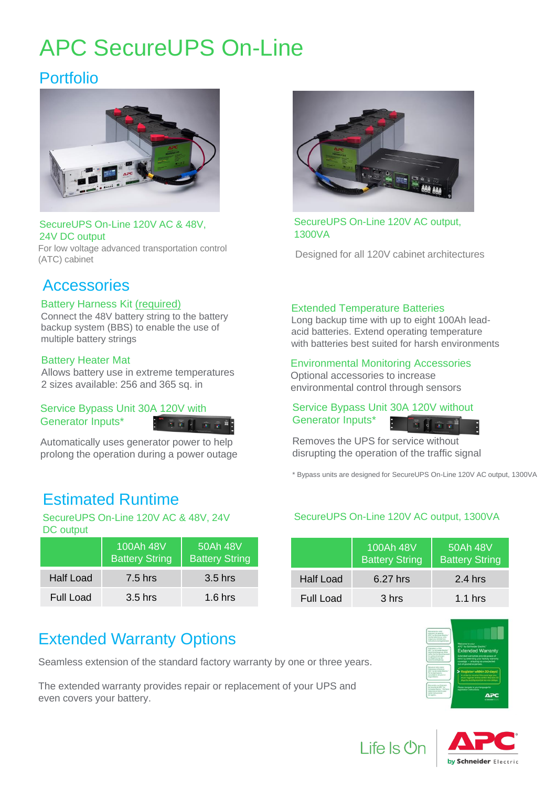# APC SecureUPS On-Line

## Portfolio



### SecureUPS On-Line 120V AC & 48V, 24V DC output

For low voltage advanced transportation control (ATC) cabinet

## **Accessories**

### Battery Harness Kit (required)

Connect the 48V battery string to the battery backup system (BBS) to enable the use of multiple battery strings

### Battery Heater Mat

Allows battery use in extreme temperatures 2 sizes available: 256 and 365 sq. in

### Service Bypass Unit 30A 120V with Generator Inputs\*

Automatically uses generator power to help prolong the operation during a power outage

# Estimated Runtime

SecureUPS On-Line 120V AC & 48V, 24V DC output

|                  | 100Ah 48V<br><b>Battery String</b> | 50Ah 48V<br><b>Battery String</b> |
|------------------|------------------------------------|-----------------------------------|
| <b>Half Load</b> | 7.5 hrs                            | $3.5$ hrs                         |
| Full Load        | $3.5$ hrs                          | $1.6$ hrs                         |

# Extended Warranty Options

Seamless extension of the standard factory warranty by one or three years.

The extended warranty provides repair or replacement of your UPS and even covers your battery.



SecureUPS On-Line 120V AC output, 1300VA

Designed for all 120V cabinet architectures

### Extended Temperature Batteries

Long backup time with up to eight 100Ah leadacid batteries. Extend operating temperature with batteries best suited for harsh environments

### Environmental Monitoring Accessories

Optional accessories to increase environmental control through sensors

### Service Bypass Unit 30A 120V without Generator Inputs\*

Removes the UPS for service without disrupting the operation of the traffic signal

\* Bypass units are designed for SecureUPS On-Line 120V AC output, 1300VA

### SecureUPS On-Line 120V AC output, 1300VA

|           | 100Ah 48V<br><b>Battery String</b> | 50Ah 48V<br><b>Battery String</b> |
|-----------|------------------------------------|-----------------------------------|
| Half Load | $6.27$ hrs                         | $2.4$ hrs                         |
| Full Load | 3 hrs                              | $1.1$ hrs                         |